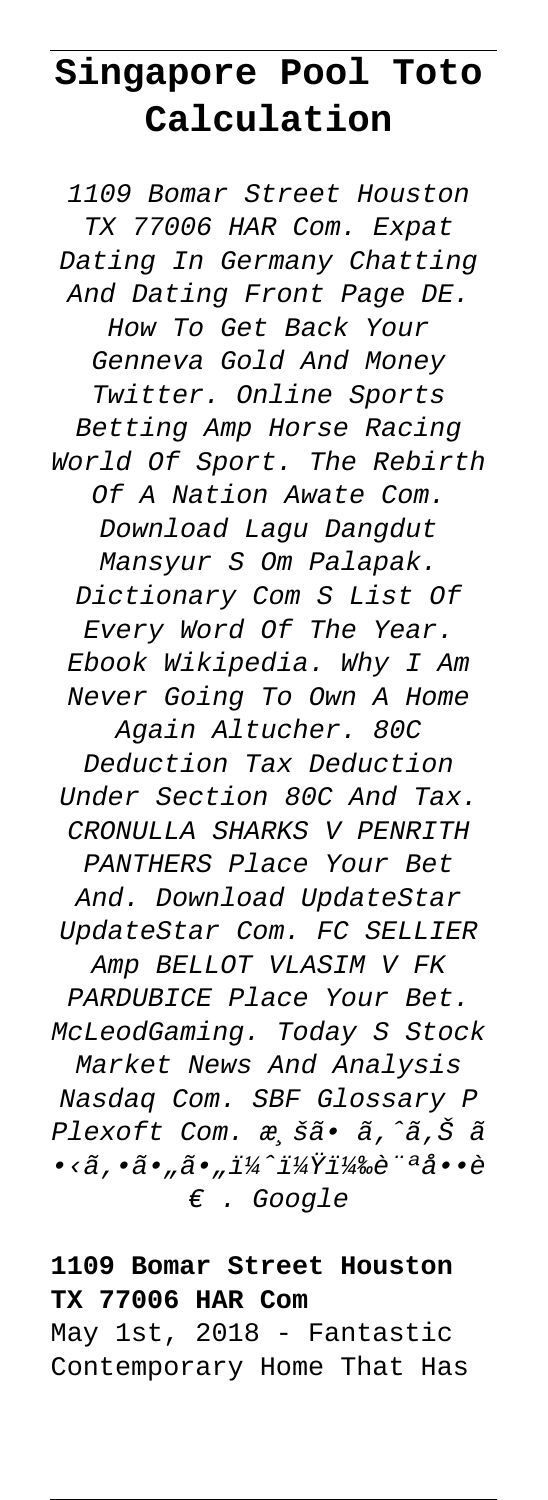# **Singapore Pool Toto Calculation**

1109 Bomar Street Houston TX 77006 HAR Com. Expat Dating In Germany Chatting And Dating Front Page DE. How To Get Back Your Genneva Gold And Money Twitter. Online Sports Betting Amp Horse Racing World Of Sport. The Rebirth Of A Nation Awate Com. Download Lagu Dangdut Mansyur S Om Palapak. Dictionary Com S List Of Every Word Of The Year. Ebook Wikipedia. Why I Am Never Going To Own A Home Again Altucher. 80C Deduction Tax Deduction Under Section 80C And Tax. CRONULLA SHARKS V PENRITH PANTHERS Place Your Bet And. Download UpdateStar UpdateStar Com. FC SELLIER Amp BELLOT VLASIM V FK PARDUBICE Place Your Bet. McLeodGaming. Today S Stock Market News And Analysis Nasdaq Com. SBF Glossary P Plexoft Com. æ,šã. ã,^ã,Š ã •<ã,•ã•"ã•"ï¼^?)訪å••è € . Google

## **1109 Bomar Street Houston TX 77006 HAR Com**

May 1st, 2018 - Fantastic Contemporary Home That Has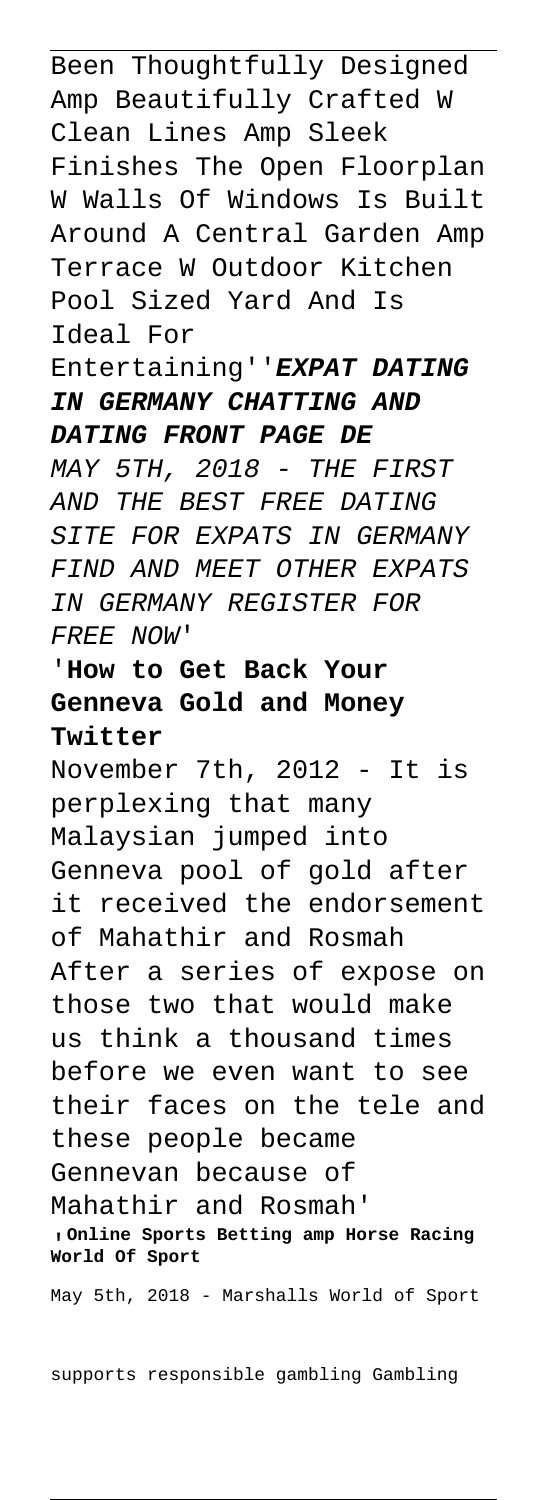Been Thoughtfully Designed Amp Beautifully Crafted W Clean Lines Amp Sleek Finishes The Open Floorplan W Walls Of Windows Is Built Around A Central Garden Amp Terrace W Outdoor Kitchen Pool Sized Yard And Is Ideal For

### Entertaining''**EXPAT DATING IN GERMANY CHATTING AND DATING FRONT PAGE DE**

MAY 5TH, 2018 - THE FIRST AND THE BEST FREE DATING SITE FOR EXPATS IN GERMANY FIND AND MEET OTHER EXPATS IN GERMANY REGISTER FOR FREE NOW'

## '**How to Get Back Your Genneva Gold and Money Twitter**

November 7th, 2012 - It is perplexing that many Malaysian jumped into Genneva pool of gold after it received the endorsement of Mahathir and Rosmah After a series of expose on those two that would make us think a thousand times before we even want to see their faces on the tele and these people became Gennevan because of Mahathir and Rosmah' '**Online Sports Betting amp Horse Racing World Of Sport**

May 5th, 2018 - Marshalls World of Sport

supports responsible gambling Gambling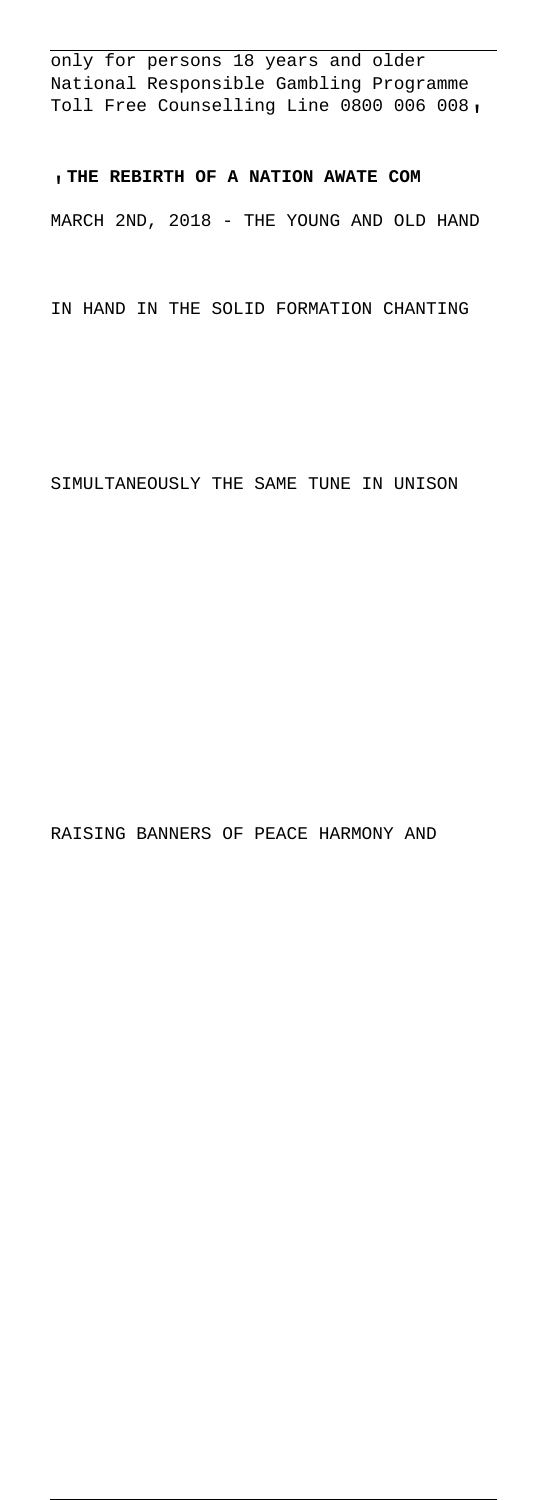only for persons 18 years and older National Responsible Gambling Programme Toll Free Counselling Line 0800 006 008'

'**THE REBIRTH OF A NATION AWATE COM** MARCH 2ND, 2018 - THE YOUNG AND OLD HAND

IN HAND IN THE SOLID FORMATION CHANTING

SIMULTANEOUSLY THE SAME TUNE IN UNISON

RAISING BANNERS OF PEACE HARMONY AND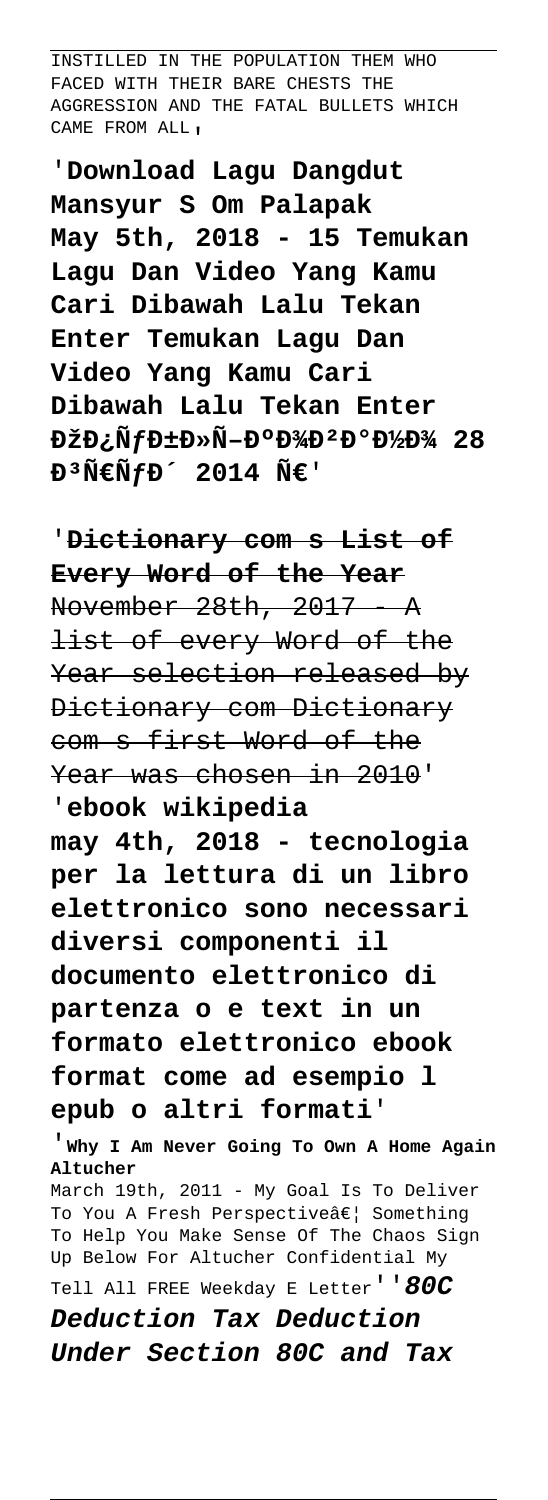INSTILLED IN THE POPULATION THEM WHO FACED WITH THEIR BARE CHESTS THE AGGRESSION AND THE FATAL BULLETS WHICH CAME FROM ALL'

'**Download Lagu Dangdut Mansyur S Om Palapak May 5th, 2018 - 15 Temukan Lagu Dan Video Yang Kamu Cari Dibawah Lalu Tekan Enter Temukan Lagu Dan Video Yang Kamu Cari Dibawah Lalu Tekan Enter**  $D\check{z}D\check{N}fD\pm D\tilde{N}-D^{\circ}D^{3}/D^{2}D^{\circ}D^{1}/D^{3}/28$  $\tilde{E}^3 \tilde{N} \in \tilde{N} f D^2 2014 \tilde{N} \in V$ 

'**Dictionary com s List of Every Word of the Year** November 28th, 2017 A list of every Word of the Year selection released by Dictionary com Dictionary com s first Word of the Year was chosen in 2010' '**ebook wikipedia**

**may 4th, 2018 - tecnologia per la lettura di un libro elettronico sono necessari diversi componenti il documento elettronico di partenza o e text in un formato elettronico ebook format come ad esempio l epub o altri formati**'

'**Why I Am Never Going To Own A Home Again Altucher**

March 19th, 2011 - My Goal Is To Deliver To You A Fresh Perspectiveâ€| Something To Help You Make Sense Of The Chaos Sign Up Below For Altucher Confidential My

Tell All FREE Weekday E Letter''**80C**

**Deduction Tax Deduction Under Section 80C and Tax**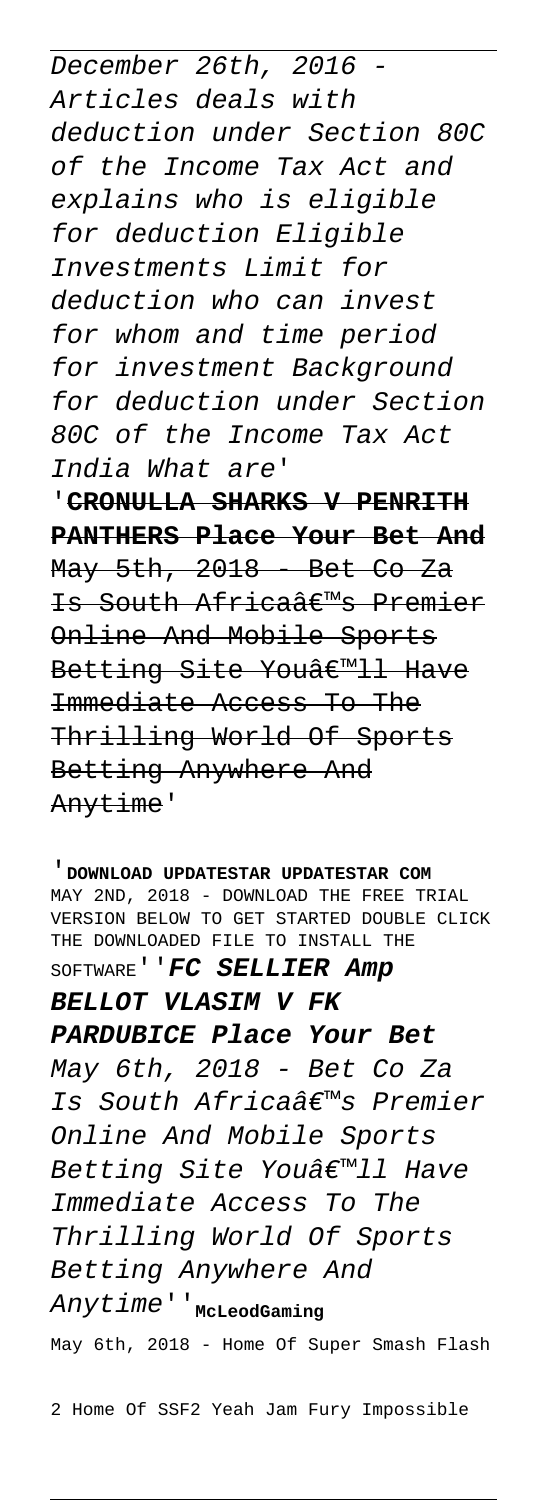December 26th, 2016 - Articles deals with deduction under Section 80C of the Income Tax Act and explains who is eligible for deduction Eligible Investments Limit for deduction who can invest for whom and time period for investment Background for deduction under Section 80C of the Income Tax Act India What are'

'**CRONULLA SHARKS V PENRITH PANTHERS Place Your Bet And** May 5th, 2018 - Bet Co Za Is South Africaa <Member Online And Mobile Sports Betting Site Youâ€<sup>m</sup>ll Have Immediate Access To The Thrilling World Of Sports Betting Anywhere And Anytime'

'**DOWNLOAD UPDATESTAR UPDATESTAR COM** MAY 2ND, 2018 - DOWNLOAD THE FREE TRIAL VERSION BELOW TO GET STARTED DOUBLE CLICK THE DOWNLOADED FILE TO INSTALL THE SOFTWARE''**FC SELLIER Amp BELLOT VLASIM V FK PARDUBICE Place Your Bet** May 6th, 2018 - Bet Co Za Is South Africa's Premier Online And Mobile Sports Betting Site You'11 Have Immediate Access To The Thrilling World Of Sports Betting Anywhere And Anytime''**McLeodGaming** May 6th, 2018 - Home Of Super Smash Flash

2 Home Of SSF2 Yeah Jam Fury Impossible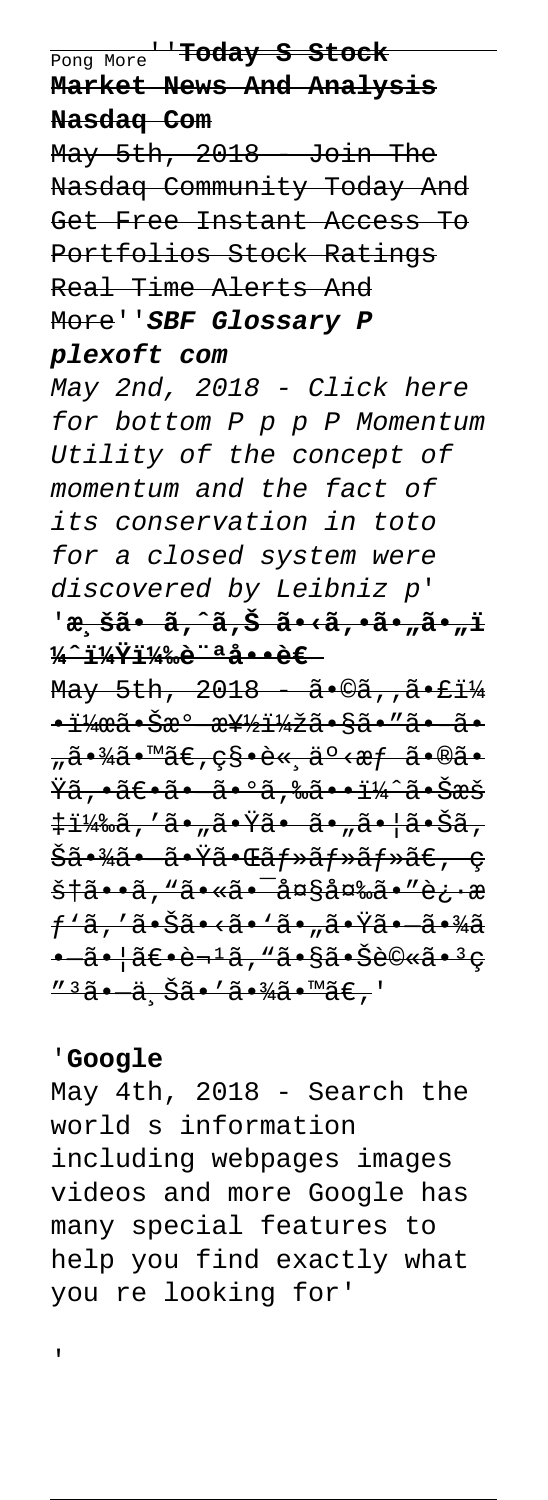Pong More''**Today S Stock Market News And Analysis Nasdaq Com**

May 5th, 2018 Join The Nasdaq Community Today And Get Free Instant Access To Portfolios Stock Ratings Real Time Alerts And More''**SBF Glossary P**

#### **plexoft com**

May 2nd, 2018 - Click here for bottom P p p P Momentum Utility of the concept of momentum and the fact of its conservation in toto for a closed system were discovered by Leibniz p' '<del>æ़ šã• ã, ̂ã,Š ã•‹ã,•ã•"ã•"ï</del>

**¼ˆï¼Ÿï¼‰è¨ªå••è€**  May 5th, 2018 - ã•©ã, , ã•£ï¼  $\frac{11}{4}$  $\frac{12}{4}$  $\frac{32}{4}$  $\frac{32}{4}$  $\frac{42}{4}$  $\frac{33}{4}$  $\frac{34}{4}$  $\frac{34}{4}$ <del>"㕾ã•™ã€,秕諸事æf ã•®ã•</del> <del>Ÿã,•〕㕠㕺ã,‰ã••ï¼^㕊æš</del> <del>‡ï¼‰ã,′ã•"㕟ã• ã•"㕦㕊ã,</del> <del>Šã•¾ã• 㕟㕌ãf»ãf»ãf»ã€, ç</del> <del>š†ã••ã, "ã•«ã•<sup>-</sup>大変ã•″è¿•æ</del> <del>ƒ`ã,′㕊ã•<ã•`ã•"㕟㕠㕾ã</del> • ã• |〕è¬1ã, "㕧㕊è©«ã•3e <u>"3ã• ä Šã•'㕾ã•™ã€,</u>'

#### '**Google**

'

May 4th, 2018 - Search the world s information including webpages images videos and more Google has many special features to help you find exactly what you re looking for'